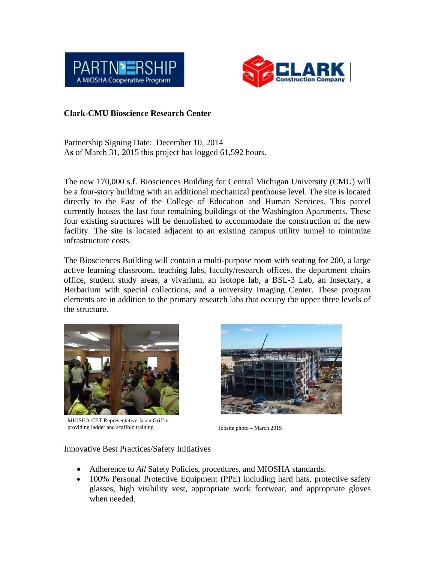



## **Clark-CMU Bioscience Research Center**

Partnership Signing Date: December 10, 2014 A**s** of March 31, 2015 this project has logged 61,592 hours.

The new 170,000 s.f. Biosciences Building for Central Michigan University (CMU) will be a four-story building with an additional mechanical penthouse level. The site is located directly to the East of the College of Education and Human Services. This parcel currently houses the last four remaining buildings of the Washington Apartments. These four existing structures will be demolished to accommodate the construction of the new facility. The site is located adjacent to an existing campus utility tunnel to minimize infrastructure costs.

The Biosciences Building will contain a multi-purpose room with seating for 200, a large active learning classroom, teaching labs, faculty/research offices, the department chairs office, student study areas, a vivarium, an isotope lab, a BSL-3 Lab, an Insectary, a Herbarium with special collections, and a university Imaging Center. These program elements are in addition to the primary research labs that occupy the upper three levels of the structure.



MIOSHA CET Representative Jason Griffin providing ladder and scaffold training Jobsite photo – March 2015



## Innovative Best Practices/Safety Initiatives

- Adherence to *All* Safety Policies, procedures, and MIOSHA standards.
- 100% Personal Protective Equipment (PPE) including hard hats, protective safety glasses, high visibility vest, appropriate work footwear, and appropriate gloves when needed.